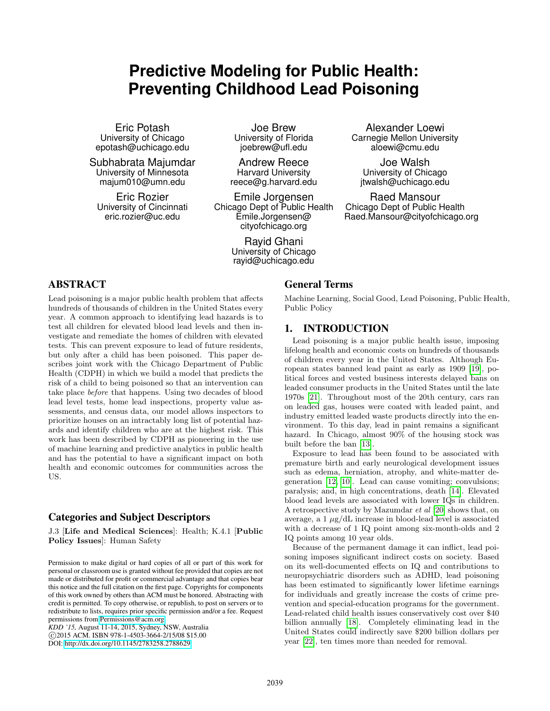# **Predictive Modeling for Public Health: Preventing Childhood Lead Poisoning**

Eric Potash University of Chicago epotash@uchicago.edu

Subhabrata Majumdar University of Minnesota majum010@umn.edu

Eric Rozier University of Cincinnati eric.rozier@uc.edu

Joe Brew University of Florida joebrew@ufl.edu

Andrew Reece Harvard University reece@g.harvard.edu

Emile Jorgensen Chicago Dept of Public Health Emile.Jorgensen@ cityofchicago.org

> Rayid Ghani University of Chicago rayid@uchicago.edu

ABSTRACT

Lead poisoning is a major public health problem that affects hundreds of thousands of children in the United States every year. A common approach to identifying lead hazards is to test all children for elevated blood lead levels and then investigate and remediate the homes of children with elevated tests. This can prevent exposure to lead of future residents, but only after a child has been poisoned. This paper describes joint work with the Chicago Department of Public Health (CDPH) in which we build a model that predicts the risk of a child to being poisoned so that an intervention can take place before that happens. Using two decades of blood lead level tests, home lead inspections, property value assessments, and census data, our model allows inspectors to prioritize houses on an intractably long list of potential hazards and identify children who are at the highest risk. This work has been described by CDPH as pioneering in the use of machine learning and predictive analytics in public health and has the potential to have a significant impact on both health and economic outcomes for communities across the US.

# Categories and Subject Descriptors

J.3 [Life and Medical Sciences]: Health; K.4.1 [Public Policy Issues]: Human Safety

Permission to make digital or hard copies of all or part of this work for personal or classroom use is granted without fee provided that copies are not made or distributed for profit or commercial advantage and that copies bear this notice and the full citation on the first page. Copyrights for components of this work owned by others than ACM must be honored. Abstracting with credit is permitted. To copy otherwise, or republish, to post on servers or to redistribute to lists, requires prior specific permission and/or a fee. Request permissions from [Permissions@acm.org.](Permissions@acm.org)

*KDD '15,* August 11-14, 2015, Sydney, NSW, Australia c 2015 ACM. ISBN 978-1-4503-3664-2/15/08 \$15.00 DOI: [http://dx.doi.org/10.1145/2783258.2788629.](http://dx.doi.org/10.1145/2783258.2788629)

# General Terms

Machine Learning, Social Good, Lead Poisoning, Public Health, Public Policy

Alexander Loewi Carnegie Mellon University aloewi@cmu.edu

Joe Walsh University of Chicago jtwalsh@uchicago.edu

Raed Mansour Chicago Dept of Public Health Raed.Mansour@cityofchicago.org

## 1. INTRODUCTION

Lead poisoning is a major public health issue, imposing lifelong health and economic costs on hundreds of thousands of children every year in the United States. Although European states banned lead paint as early as 1909 [\[19\]](#page-8-0), political forces and vested business interests delayed bans on leaded consumer products in the United States until the late 1970s [\[21\]](#page-8-1). Throughout most of the 20th century, cars ran on leaded gas, houses were coated with leaded paint, and industry emitted leaded waste products directly into the environment. To this day, lead in paint remains a significant hazard. In Chicago, almost 90% of the housing stock was built before the ban [\[13\]](#page-8-2).

Exposure to lead has been found to be associated with premature birth and early neurological development issues such as edema, herniation, atrophy, and white-matter degeneration [\[12,](#page-8-3) [10\]](#page-8-4). Lead can cause vomiting; convulsions; paralysis; and, in high concentrations, death [\[14\]](#page-8-5). Elevated blood lead levels are associated with lower IQs in children. A retrospective study by Mazumdar et al [\[20\]](#page-8-6) shows that, on average, a  $1 \mu g/dL$  increase in blood-lead level is associated with a decrease of 1 IQ point among six-month-olds and 2 IQ points among 10 year olds.

Because of the permanent damage it can inflict, lead poisoning imposes significant indirect costs on society. Based on its well-documented effects on IQ and contributions to neuropsychiatric disorders such as ADHD, lead poisoning has been estimated to significantly lower lifetime earnings for individuals and greatly increase the costs of crime prevention and special-education programs for the government. Lead-related child health issues conservatively cost over \$40 billion annually [\[18\]](#page-8-7). Completely eliminating lead in the United States could indirectly save \$200 billion dollars per year [\[22\]](#page-8-8), ten times more than needed for removal.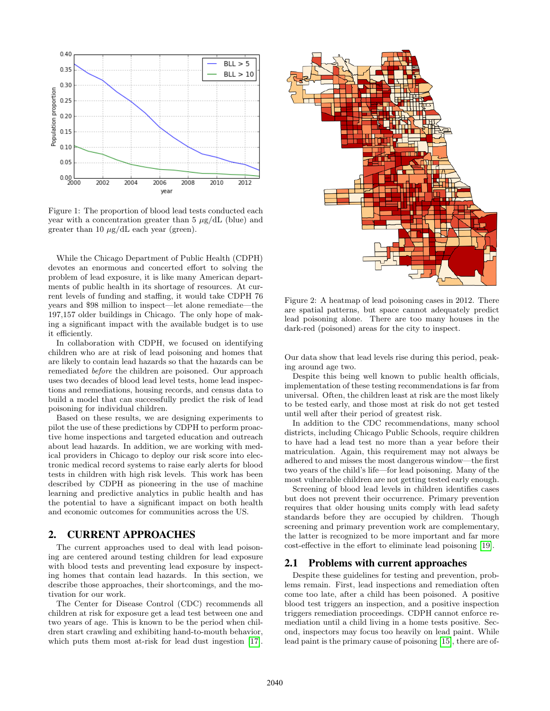

Figure 1: The proportion of blood lead tests conducted each year with a concentration greater than  $5 \mu g/dL$  (blue) and greater than 10  $\mu$ g/dL each year (green).

While the Chicago Department of Public Health (CDPH) devotes an enormous and concerted effort to solving the problem of lead exposure, it is like many American departments of public health in its shortage of resources. At current levels of funding and staffing, it would take CDPH 76 years and \$98 million to inspect—let alone remediate—the 197,157 older buildings in Chicago. The only hope of making a significant impact with the available budget is to use it efficiently.

In collaboration with CDPH, we focused on identifying children who are at risk of lead poisoning and homes that are likely to contain lead hazards so that the hazards can be remediated before the children are poisoned. Our approach uses two decades of blood lead level tests, home lead inspections and remediations, housing records, and census data to build a model that can successfully predict the risk of lead poisoning for individual children.

Based on these results, we are designing experiments to pilot the use of these predictions by CDPH to perform proactive home inspections and targeted education and outreach about lead hazards. In addition, we are working with medical providers in Chicago to deploy our risk score into electronic medical record systems to raise early alerts for blood tests in children with high risk levels. This work has been described by CDPH as pioneering in the use of machine learning and predictive analytics in public health and has the potential to have a significant impact on both health and economic outcomes for communities across the US.

## 2. CURRENT APPROACHES

The current approaches used to deal with lead poisoning are centered around testing children for lead exposure with blood tests and preventing lead exposure by inspecting homes that contain lead hazards. In this section, we describe those approaches, their shortcomings, and the motivation for our work.

The Center for Disease Control (CDC) recommends all children at risk for exposure get a lead test between one and two years of age. This is known to be the period when children start crawling and exhibiting hand-to-mouth behavior, which puts them most at-risk for lead dust ingestion [\[17\]](#page-8-9).



Figure 2: A heatmap of lead poisoning cases in 2012. There are spatial patterns, but space cannot adequately predict lead poisoning alone. There are too many houses in the dark-red (poisoned) areas for the city to inspect.

Our data show that lead levels rise during this period, peaking around age two.

Despite this being well known to public health officials, implementation of these testing recommendations is far from universal. Often, the children least at risk are the most likely to be tested early, and those most at risk do not get tested until well after their period of greatest risk.

In addition to the CDC recommendations, many school districts, including Chicago Public Schools, require children to have had a lead test no more than a year before their matriculation. Again, this requirement may not always be adhered to and misses the most dangerous window—the first two years of the child's life—for lead poisoning. Many of the most vulnerable children are not getting tested early enough.

Screening of blood lead levels in children identifies cases but does not prevent their occurrence. Primary prevention requires that older housing units comply with lead safety standards before they are occupied by children. Though screening and primary prevention work are complementary, the latter is recognized to be more important and far more cost-effective in the effort to eliminate lead poisoning [\[19\]](#page-8-0).

#### 2.1 Problems with current approaches

Despite these guidelines for testing and prevention, problems remain. First, lead inspections and remediation often come too late, after a child has been poisoned. A positive blood test triggers an inspection, and a positive inspection triggers remediation proceedings. CDPH cannot enforce remediation until a child living in a home tests positive. Second, inspectors may focus too heavily on lead paint. While lead paint is the primary cause of poisoning [\[15\]](#page-8-10), there are of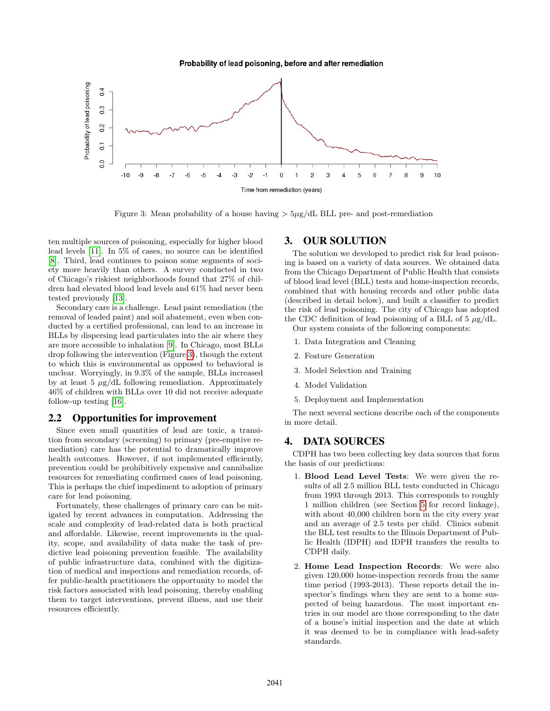Probability of lead poisoning, before and after remediation

<span id="page-2-0"></span>

Figure 3: Mean probability of a house having  $>5\mu$ g/dL BLL pre- and post-remediation

ten multiple sources of poisoning, especially for higher blood lead levels [\[11\]](#page-8-11). In 5% of cases, no source can be identified [\[8\]](#page-8-12). Third, lead continues to poison some segments of society more heavily than others. A survey conducted in two of Chicago's riskiest neighborhoods found that 27% of children had elevated blood lead levels and 61% had never been tested previously [\[13\]](#page-8-2).

Secondary care is a challenge. Lead paint remediation (the removal of leaded paint) and soil abatement, even when conducted by a certified professional, can lead to an increase in BLLs by dispersing lead particulates into the air where they are more accessible to inhalation [\[9\]](#page-8-13). In Chicago, most BLLs drop following the intervention (Figure [3\)](#page-2-0), though the extent to which this is environmental as opposed to behavioral is unclear. Worryingly, in 9.3% of the sample, BLLs increased by at least 5  $\mu$ g/dL following remediation. Approximately 46% of children with BLLs over 10 did not receive adequate follow-up testing [\[16\]](#page-8-14).

#### 2.2 Opportunities for improvement

Since even small quantities of lead are toxic, a transition from secondary (screening) to primary (pre-emptive remediation) care has the potential to dramatically improve health outcomes. However, if not implemented efficiently, prevention could be prohibitively expensive and cannibalize resources for remediating confirmed cases of lead poisoning. This is perhaps the chief impediment to adoption of primary care for lead poisoning.

Fortunately, these challenges of primary care can be mitigated by recent advances in computation. Addressing the scale and complexity of lead-related data is both practical and affordable. Likewise, recent improvements in the quality, scope, and availability of data make the task of predictive lead poisoning prevention feasible. The availability of public infrastructure data, combined with the digitization of medical and inspections and remediation records, offer public-health practitioners the opportunity to model the risk factors associated with lead poisoning, thereby enabling them to target interventions, prevent illness, and use their resources efficiently.

## 3. OUR SOLUTION

The solution we developed to predict risk for lead poisoning is based on a variety of data sources. We obtained data from the Chicago Department of Public Health that consists of blood lead level (BLL) tests and home-inspection records, combined that with housing records and other public data (described in detail below), and built a classifier to predict the risk of lead poisoning. The city of Chicago has adopted the CDC definition of lead poisoning of a BLL of  $5 \mu g/dL$ .

Our system consists of the following components:

- 1. Data Integration and Cleaning
- 2. Feature Generation
- 3. Model Selection and Training
- 4. Model Validation
- 5. Deployment and Implementation

The next several sections describe each of the components in more detail.

#### 4. DATA SOURCES

CDPH has two been collecting key data sources that form the basis of our predictions:

- 1. Blood Lead Level Tests: We were given the results of all 2.5 million BLL tests conducted in Chicago from 1993 through 2013. This corresponds to roughly 1 million children (see Section [5](#page-3-0) for record linkage), with about 40,000 children born in the city every year and an average of 2.5 tests per child. Clinics submit the BLL test results to the Illinois Department of Public Health (IDPH) and IDPH transfers the results to CDPH daily.
- 2. Home Lead Inspection Records: We were also given 120,000 home-inspection records from the same time period (1993-2013). These reports detail the inspector's findings when they are sent to a home suspected of being hazardous. The most important entries in our model are those corresponding to the date of a house's initial inspection and the date at which it was deemed to be in compliance with lead-safety standards.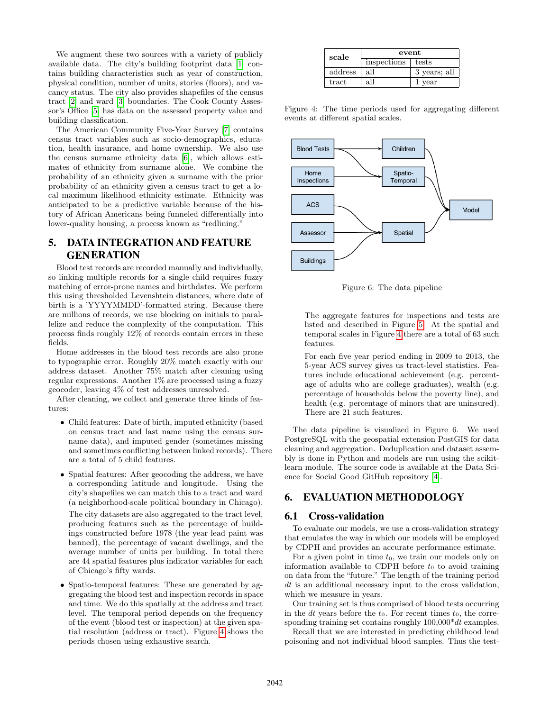We augment these two sources with a variety of publicly available data. The city's building footprint data [\[1\]](#page-8-15) contains building characteristics such as year of construction, physical condition, number of units, stories (floors), and vacancy status. The city also provides shapefiles of the census tract [\[2\]](#page-8-16) and ward [\[3\]](#page-8-17) boundaries. The Cook County Assessor's Office [\[5\]](#page-8-18) has data on the assessed property value and building classification.

The American Community Five-Year Survey [\[7\]](#page-8-19) contains census tract variables such as socio-demographics, education, health insurance, and home ownership. We also use the census surname ethnicity data [\[6\]](#page-8-20), which allows estimates of ethnicity from surname alone. We combine the probability of an ethnicity given a surname with the prior probability of an ethnicity given a census tract to get a local maximum likelihood ethnicity estimate. Ethnicity was anticipated to be a predictive variable because of the history of African Americans being funneled differentially into lower-quality housing, a process known as "redlining."

# <span id="page-3-0"></span>5. DATA INTEGRATION AND FEATURE **GENERATION**

Blood test records are recorded manually and individually, so linking multiple records for a single child requires fuzzy matching of error-prone names and birthdates. We perform this using thresholded Levenshtein distances, where date of birth is a 'YYYYMMDD'-formatted string. Because there are millions of records, we use blocking on initials to parallelize and reduce the complexity of the computation. This process finds roughly 12% of records contain errors in these fields.

Home addresses in the blood test records are also prone to typographic error. Roughly 20% match exactly with our address dataset. Another 75% match after cleaning using regular expressions. Another 1% are processed using a fuzzy geocoder, leaving 4% of test addresses unresolved.

After cleaning, we collect and generate three kinds of features:

- Child features: Date of birth, imputed ethnicity (based on census tract and last name using the census surname data), and imputed gender (sometimes missing and sometimes conflicting between linked records). There are a total of 5 child features.
- Spatial features: After geocoding the address, we have a corresponding latitude and longitude. Using the city's shapefiles we can match this to a tract and ward (a neighborhood-scale political boundary in Chicago).

The city datasets are also aggregated to the tract level, producing features such as the percentage of buildings constructed before 1978 (the year lead paint was banned), the percentage of vacant dwellings, and the average number of units per building. In total there are 44 spatial features plus indicator variables for each of Chicago's fifty wards.

• Spatio-temporal features: These are generated by aggregating the blood test and inspection records in space and time. We do this spatially at the address and tract level. The temporal period depends on the frequency of the event (blood test or inspection) at the given spatial resolution (address or tract). Figure [4](#page-3-1) shows the periods chosen using exhaustive search.

<span id="page-3-1"></span>

| scale   | event       |              |
|---------|-------------|--------------|
|         | inspections | tests        |
| address | all         | 3 years; all |
| tract   | all         | vear         |

Figure 4: The time periods used for aggregating different events at different spatial scales.



Figure 6: The data pipeline

The aggregate features for inspections and tests are listed and described in Figure [5.](#page-4-0) At the spatial and temporal scales in Figure [4](#page-3-1) there are a total of 63 such features.

For each five year period ending in 2009 to 2013, the 5-year ACS survey gives us tract-level statistics. Features include educational achievement (e.g. percentage of adults who are college graduates), wealth (e.g. percentage of households below the poverty line), and health (e.g. percentage of minors that are uninsured). There are 21 such features.

The data pipeline is visualized in Figure 6. We used PostgreSQL with the geospatial extension PostGIS for data cleaning and aggregation. Deduplication and dataset assembly is done in Python and models are run using the scikitlearn module. The source code is available at the Data Science for Social Good GitHub repository [\[4\]](#page-8-21).

## 6. EVALUATION METHODOLOGY

### 6.1 Cross-validation

To evaluate our models, we use a cross-validation strategy that emulates the way in which our models will be employed by CDPH and provides an accurate performance estimate.

For a given point in time  $t_0$ , we train our models only on information available to CDPH before  $t_0$  to avoid training on data from the "future." The length of the training period dt is an additional necessary input to the cross validation, which we measure in years.

Our training set is thus comprised of blood tests occurring in the dt years before the  $t_0$ . For recent times  $t_0$ , the corresponding training set contains roughly  $100,000*dt$  examples.

Recall that we are interested in predicting childhood lead poisoning and not individual blood samples. Thus the test-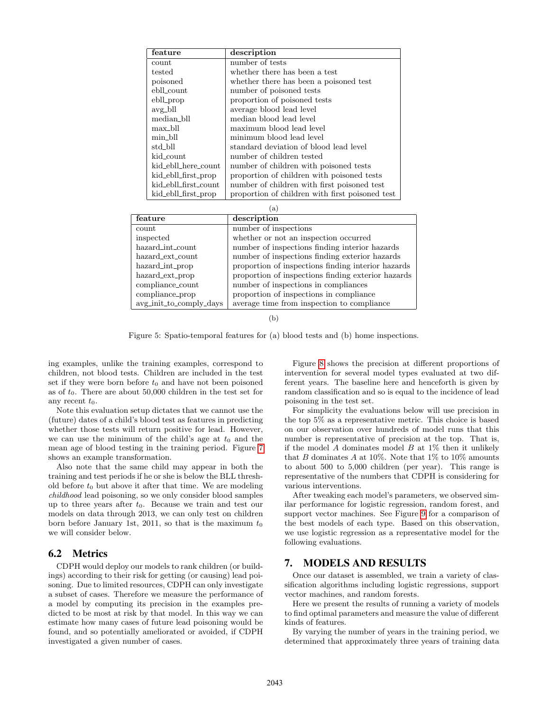<span id="page-4-0"></span>

| feature              | description                                     |
|----------------------|-------------------------------------------------|
| count                | number of tests                                 |
| tested               | whether there has been a test                   |
| poisoned             | whether there has been a poisoned test          |
| ebll count           | number of poisoned tests                        |
| ebll_prop            | proportion of poisoned tests                    |
| $avg_b$ ll           | average blood lead level                        |
| median_bll           | median blood lead level                         |
| max_bll              | maximum blood lead level                        |
| min_bll              | minimum blood lead level                        |
| std_bll              | standard deviation of blood lead level          |
| kid_count            | number of children tested                       |
| kid_ebll_here_count  | number of children with poisoned tests          |
| kid_ebll_first_prop  | proportion of children with poisoned tests      |
| kid_ebll_first_count | number of children with first poisoned test     |
| kid_ebll_first_prop  | proportion of children with first poisoned test |
|                      | $\lbrack a \rbrack$                             |

| (a)                     |                                                    |  |
|-------------------------|----------------------------------------------------|--|
| feature                 | description                                        |  |
| count                   | number of inspections                              |  |
| inspected               | whether or not an inspection occurred              |  |
| hazard_int_count        | number of inspections finding interior hazards     |  |
| hazard_ext_count        | number of inspections finding exterior hazards     |  |
| hazard_int_prop         | proportion of inspections finding interior hazards |  |
| hazard_ext_prop         | proportion of inspections finding exterior hazards |  |
| compliance_count        | number of inspections in compliances               |  |
| compliance_prop         | proportion of inspections in compliance            |  |
| avg_init_to_comply_days | average time from inspection to compliance         |  |

(b)

Figure 5: Spatio-temporal features for (a) blood tests and (b) home inspections.

ing examples, unlike the training examples, correspond to children, not blood tests. Children are included in the test set if they were born before  $t_0$  and have not been poisoned as of  $t_0$ . There are about 50,000 children in the test set for any recent  $t_0$ .

Note this evaluation setup dictates that we cannot use the (future) dates of a child's blood test as features in predicting whether those tests will return positive for lead. However, we can use the minimum of the child's age at  $t_0$  and the mean age of blood testing in the training period. Figure [7](#page-5-0) shows an example transformation.

Also note that the same child may appear in both the training and test periods if he or she is below the BLL threshold before  $t_0$  but above it after that time. We are modeling childhood lead poisoning, so we only consider blood samples up to three years after  $t_0$ . Because we train and test our models on data through 2013, we can only test on children born before January 1st, 2011, so that is the maximum  $t_0$ we will consider below.

### 6.2 Metrics

CDPH would deploy our models to rank children (or buildings) according to their risk for getting (or causing) lead poisoning. Due to limited resources, CDPH can only investigate a subset of cases. Therefore we measure the performance of a model by computing its precision in the examples predicted to be most at risk by that model. In this way we can estimate how many cases of future lead poisoning would be found, and so potentially ameliorated or avoided, if CDPH investigated a given number of cases.

Figure [8](#page-5-1) shows the precision at different proportions of intervention for several model types evaluated at two different years. The baseline here and henceforth is given by random classification and so is equal to the incidence of lead poisoning in the test set.

For simplicity the evaluations below will use precision in the top 5% as a representative metric. This choice is based on our observation over hundreds of model runs that this number is representative of precision at the top. That is, if the model A dominates model  $B$  at  $1\%$  then it unlikely that B dominates A at 10%. Note that  $1\%$  to  $10\%$  amounts to about 500 to 5,000 children (per year). This range is representative of the numbers that CDPH is considering for various interventions.

After tweaking each model's parameters, we observed similar performance for logistic regression, random forest, and support vector machines. See Figure [9](#page-5-2) for a comparison of the best models of each type. Based on this observation, we use logistic regression as a representative model for the following evaluations.

## 7. MODELS AND RESULTS

Once our dataset is assembled, we train a variety of classification algorithms including logistic regressions, support vector machines, and random forests.

Here we present the results of running a variety of models to find optimal parameters and measure the value of different kinds of features.

By varying the number of years in the training period, we determined that approximately three years of training data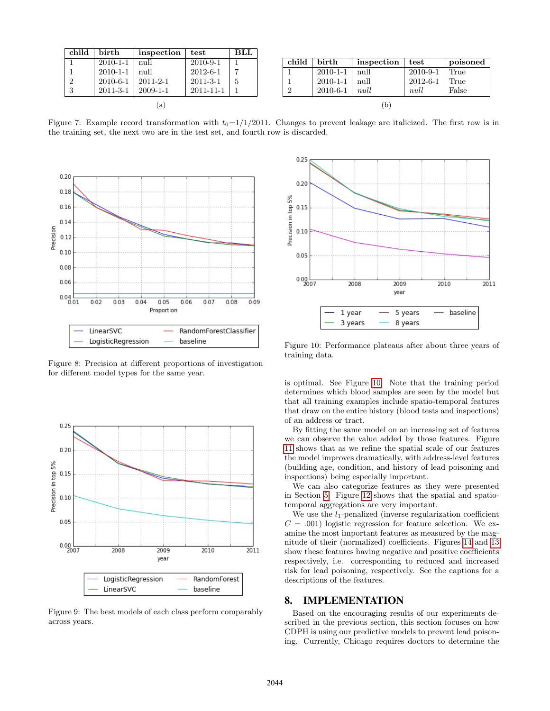<span id="page-5-0"></span>

| child | birth          | inspection     | test           | BLL |
|-------|----------------|----------------|----------------|-----|
|       | $2010 - 1 - 1$ | null           | $2010 - 9 - 1$ |     |
|       | $2010 - 1 - 1$ | null           | $2012 - 6 - 1$ |     |
|       | $2010 - 6 - 1$ | $2011 - 2 - 1$ | $2011 - 3 - 1$ | 5   |
| 3     | $2011 - 3 - 1$ | $2009 - 1 - 1$ | 2011-11-1      |     |
|       |                | 'a             |                |     |

| child | birth          | inspection | test           | poisoned |
|-------|----------------|------------|----------------|----------|
|       | $2010 - 1 - 1$ | null       | $2010 - 9 - 1$ | True     |
|       | $2010 - 1 - 1$ | null       | $2012 - 6 - 1$ | True     |
|       | $2010 - 6 - 1$ | null       | null           | False    |
|       |                |            |                |          |

Figure 7: Example record transformation with  $t_0=1/1/2011$ . Changes to prevent leakage are italicized. The first row is in the training set, the next two are in the test set, and fourth row is discarded.

<span id="page-5-1"></span>

Figure 8: Precision at different proportions of investigation for different model types for the same year.

<span id="page-5-2"></span>

Figure 9: The best models of each class perform comparably across years.

<span id="page-5-3"></span>

Figure 10: Performance plateaus after about three years of training data.

is optimal. See Figure [10.](#page-5-3) Note that the training period determines which blood samples are seen by the model but that all training examples include spatio-temporal features that draw on the entire history (blood tests and inspections) of an address or tract.

By fitting the same model on an increasing set of features we can observe the value added by those features. Figure [11](#page-6-0) shows that as we refine the spatial scale of our features the model improves dramatically, with address-level features (building age, condition, and history of lead poisoning and inspections) being especially important.

We can also categorize features as they were presented in Section [5.](#page-3-0) Figure [12](#page-6-1) shows that the spatial and spatiotemporal aggregations are very important.

We use the  $l_1$ -penalized (inverse regularization coefficient  $C = .001$ ) logistic regression for feature selection. We examine the most important features as measured by the magnitude of their (normalized) coefficients. Figures [14](#page-6-2) and [13](#page-6-3) show these features having negative and positive coefficients respectively, i.e. corresponding to reduced and increased risk for lead poisoning, respectively. See the captions for a descriptions of the features.

## 8. IMPLEMENTATION

Based on the encouraging results of our experiments described in the previous section, this section focuses on how CDPH is using our predictive models to prevent lead poisoning. Currently, Chicago requires doctors to determine the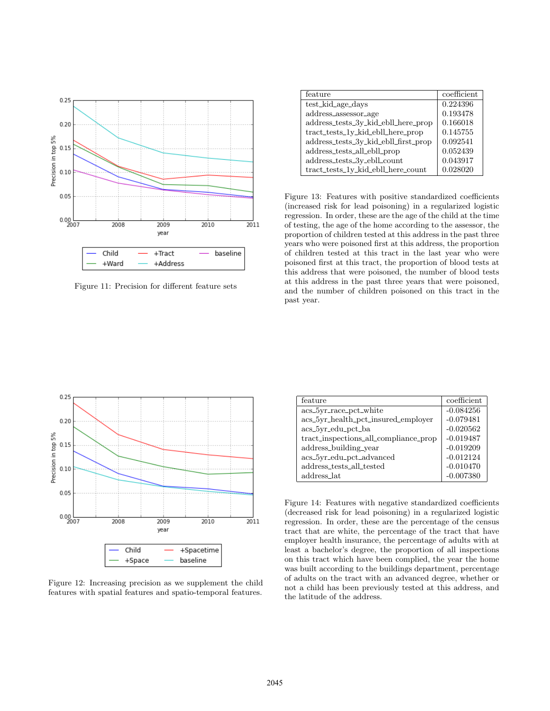<span id="page-6-0"></span>

Figure 11: Precision for different feature sets

<span id="page-6-3"></span>

| feature                              | coefficient |
|--------------------------------------|-------------|
| test_kid_age_days                    | 0.224396    |
| address_assessor_age                 | 0.193478    |
| address_tests_3y_kid_ebll_here_prop  | 0.166018    |
| tract_tests_1y_kid_ebll_here_prop    | 0.145755    |
| address_tests_3y_kid_ebll_first_prop | 0.092541    |
| address_tests_all_ebll_prop          | 0.052439    |
| address_tests_3y_ebll_count          | 0.043917    |
| tract_tests_1y_kid_ebll_here_count   | 0.028020    |

Figure 13: Features with positive standardized coefficients (increased risk for lead poisoning) in a regularized logistic regression. In order, these are the age of the child at the time of testing, the age of the home according to the assessor, the proportion of children tested at this address in the past three years who were poisoned first at this address, the proportion of children tested at this tract in the last year who were poisoned first at this tract, the proportion of blood tests at this address that were poisoned, the number of blood tests at this address in the past three years that were poisoned, and the number of children poisoned on this tract in the past year.

<span id="page-6-1"></span>

Figure 12: Increasing precision as we supplement the child features with spatial features and spatio-temporal features.

<span id="page-6-2"></span>

| feature                               | coefficient |
|---------------------------------------|-------------|
| acs_5yr_race_pct_white                | $-0.084256$ |
| acs_5yr_health_pct_insured_employer   | $-0.079481$ |
| $acs_5yr_edu_pct_ba$                  | $-0.020562$ |
| tract_inspections_all_compliance_prop | $-0.019487$ |
| address_building_year                 | $-0.019209$ |
| acs_5yr_edu_pct_advanced              | $-0.012124$ |
| address_tests_all_tested              | $-0.010470$ |
| address_lat                           | $-0.007380$ |

Figure 14: Features with negative standardized coefficients (decreased risk for lead poisoning) in a regularized logistic regression. In order, these are the percentage of the census tract that are white, the percentage of the tract that have employer health insurance, the percentage of adults with at least a bachelor's degree, the proportion of all inspections on this tract which have been complied, the year the home was built according to the buildings department, percentage of adults on the tract with an advanced degree, whether or not a child has been previously tested at this address, and the latitude of the address.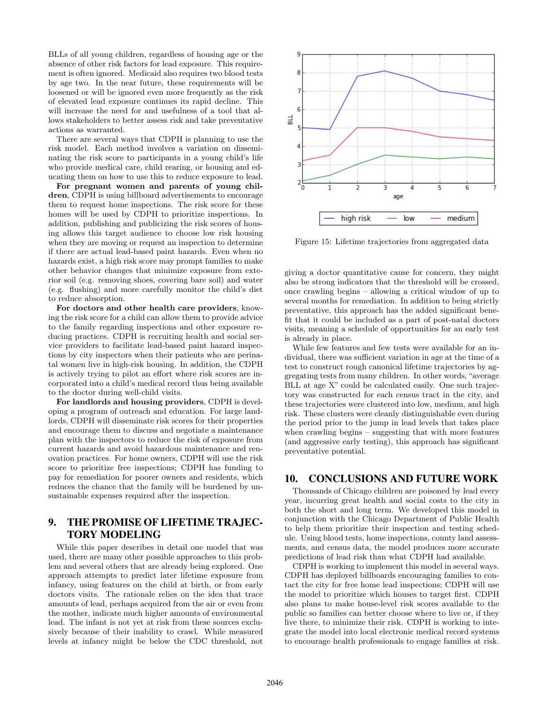BLLs of all young children, regardless of housing age or the absence of other risk factors for lead exposure. This requirement is often ignored. Medicaid also requires two blood tests by age two. In the near future, these requirements will be loosened or will be ignored even more frequently as the risk of elevated lead exposure continues its rapid decline. This will increase the need for and usefulness of a tool that allows stakeholders to better assess risk and take preventative actions as warranted.

There are several ways that CDPH is planning to use the risk model. Each method involves a variation on disseminating the risk score to participants in a young child's life who provide medical care, child rearing, or housing and educating them on how to use this to reduce exposure to lead.

For pregnant women and parents of young children, CDPH is using billboard advertisements to encourage them to request home inspections. The risk score for these homes will be used by CDPH to prioritize inspections. In addition, publishing and publicizing the risk scores of housing allows this target audience to choose low risk housing when they are moving or request an inspection to determine if there are actual lead-based paint hazards. Even when no hazards exist, a high risk score may prompt families to make other behavior changes that minimize exposure from exterior soil (e.g. removing shoes, covering bare soil) and water (e.g. flushing) and more carefully monitor the child's diet to reduce absorption.

For doctors and other health care providers, knowing the risk score for a child can allow them to provide advice to the family regarding inspections and other exposure reducing practices. CDPH is recruiting health and social service providers to facilitate lead-based paint hazard inspections by city inspectors when their patients who are perinatal women live in high-risk housing. In addition, the CDPH is actively trying to pilot an effort where risk scores are incorporated into a child's medical record thus being available to the doctor during well-child visits.

For landlords and housing providers, CDPH is developing a program of outreach and education. For large landlords, CDPH will disseminate risk scores for their properties and encourage them to discuss and negotiate a maintenance plan with the inspectors to reduce the risk of exposure from current hazards and avoid hazardous maintenance and renovation practices. For home owners, CDPH will use the risk score to prioritize free inspections; CDPH has funding to pay for remediation for poorer owners and residents, which reduces the chance that the family will be burdened by unsustainable expenses required after the inspection.

# 9. THE PROMISE OF LIFETIME TRAJEC-TORY MODELING

While this paper describes in detail one model that was used, there are many other possible approaches to this problem and several others that are already being explored. One approach attempts to predict later lifetime exposure from infancy, using features on the child at birth, or from early doctors visits. The rationale relies on the idea that trace amounts of lead, perhaps acquired from the air or even from the mother, indicate much higher amounts of environmental lead. The infant is not yet at risk from these sources exclusively because of their inability to crawl. While measured levels at infancy might be below the CDC threshold, not



Figure 15: Lifetime trajectories from aggregated data

giving a doctor quantitative cause for concern, they might also be strong indicators that the threshold will be crossed, once crawling begins – allowing a critical window of up to several months for remediation. In addition to being strictly preventative, this approach has the added significant benefit that it could be included as a part of post-natal doctors visits, meaning a schedule of opportunities for an early test is already in place.

While few features and few tests were available for an individual, there was sufficient variation in age at the time of a test to construct rough canonical lifetime trajectories by aggregating tests from many children. In other words, "average BLL at age X" could be calculated easily. One such trajectory was constructed for each census tract in the city, and these trajectories were clustered into low, medium, and high risk. These clusters were cleanly distinguishable even during the period prior to the jump in lead levels that takes place when crawling begins – suggesting that with more features (and aggressive early testing), this approach has significant preventative potential.

# 10. CONCLUSIONS AND FUTURE WORK

Thousands of Chicago children are poisoned by lead every year, incurring great health and social costs to the city in both the short and long term. We developed this model in conjunction with the Chicago Department of Public Health to help them prioritize their inspection and testing schedule. Using blood tests, home inspections, county land assessments, and census data, the model produces more accurate predictions of lead risk than what CDPH had available.

CDPH is working to implement this model in several ways. CDPH has deployed billboards encouraging families to contact the city for free home lead inspections; CDPH will use the model to prioritize which houses to target first. CDPH also plans to make house-level risk scores available to the public so families can better choose where to live or, if they live there, to minimize their risk. CDPH is working to integrate the model into local electronic medical record systems to encourage health professionals to engage families at risk.